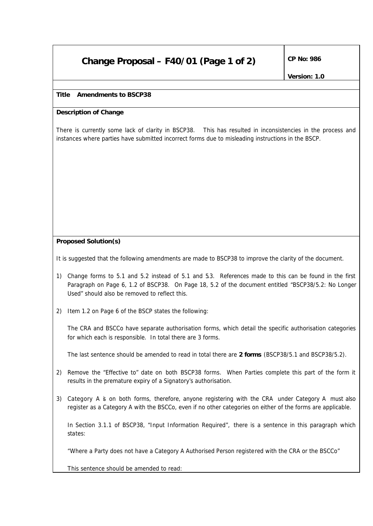# **Change Proposal – F40/01 (Page 1 of 2)**  $\int^{CP}$  No: 986

# **Title Amendments to BSCP38**

## **Description of Change**

There is currently some lack of clarity in BSCP38. This has resulted in inconsistencies in the process and instances where parties have submitted incorrect forms due to misleading instructions in the BSCP.

### **Proposed Solution(s)**

It is suggested that the following amendments are made to BSCP38 to improve the clarity of the document.

- 1) Change forms to 5.1 and 5.2 instead of 5.1 and 5.3. References made to this can be found in the first Paragraph on Page 6, 1.2 of BSCP38. On Page 18, 5.2 of the document entitled "BSCP38/5.2: No Longer Used" should also be removed to reflect this.
- 2) Item 1.2 on Page 6 of the BSCP states the following:

The CRA and BSCCo have separate authorisation forms, which detail the specific authorisation categories for which each is responsible. In total there are 3 forms.

The last sentence should be amended to read in total there are *2 forms* (BSCP38/5.1 and BSCP38/5.2).

- 2) Remove the "Effective to" date on both BSCP38 forms. When Parties complete this part of the form it results in the premature expiry of a Signatory's authorisation.
- 3) Category A is on both forms, therefore, anyone registering with the CRA under Category A must also register as a Category A with the BSCCo, even if no other categories on either of the forms are applicable.

In Section 3.1.1 of BSCP38, "Input Information Required", there is a sentence in this paragraph which states:

"Where a Party does not have a Category A Authorised Person registered with the CRA or the BSCCo"

This sentence should be amended to read: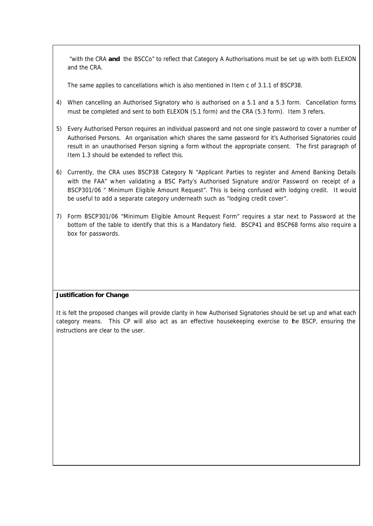"with the CRA *and* the BSCCo" to reflect that Category A Authorisations must be set up with both ELEXON and the CRA.

The same applies to cancellations which is also mentioned in Item c of 3.1.1 of BSCP38.

- 4) When cancelling an Authorised Signatory who is authorised on a 5.1 and a 5.3 form. Cancellation forms must be completed and sent to both ELEXON (5.1 form) and the CRA (5.3 form). Item 3 refers.
- 5) Every Authorised Person requires an individual password and not one single password to cover a number of Authorised Persons. An organisation which shares the same password for it's Authorised Signatories could result in an unauthorised Person signing a form without the appropriate consent. The first paragraph of Item 1.3 should be extended to reflect this.
- 6) Currently, the CRA uses BSCP38 Category N "Applicant Parties to register and Amend Banking Details with the FAA" when validating a BSC Party's Authorised Signature and/or Password on receipt of a BSCP301/06 " Minimum Eligible Amount Request". This is being confused with lodging credit. It would be useful to add a separate category underneath such as "lodging credit cover".
- 7) Form BSCP301/06 "Minimum Eligible Amount Request Form" requires a star next to Password at the bottom of the table to identify that this is a Mandatory field. BSCP41 and BSCP68 forms also require a box for passwords.

### **Justification for Change**

It is felt the proposed changes will provide clarity in how Authorised Signatories should be set up and what each category means. This CP will also act as an effective housekeeping exercise to the BSCP, ensuring the instructions are clear to the user.